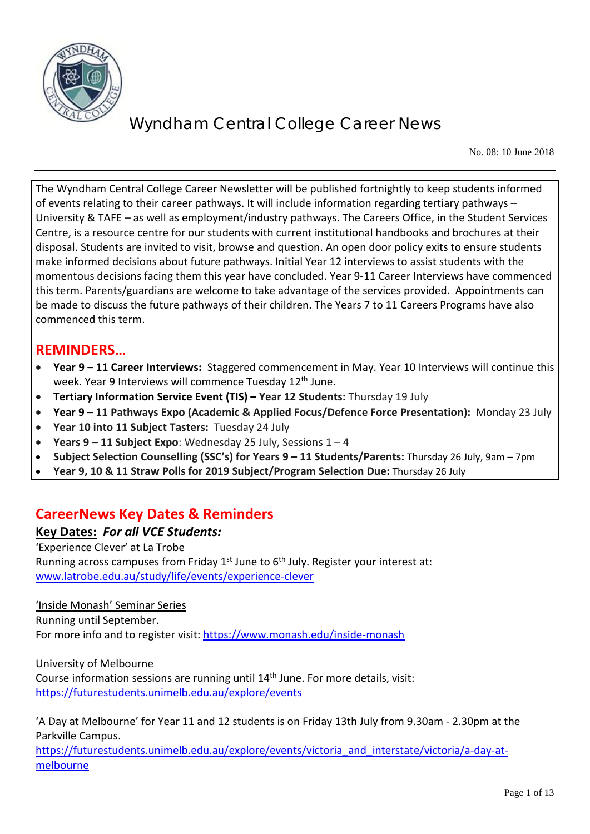

No. 08: 10 June 2018

The Wyndham Central College Career Newsletter will be published fortnightly to keep students informed of events relating to their career pathways. It will include information regarding tertiary pathways – University & TAFE – as well as employment/industry pathways. The Careers Office, in the Student Services Centre, is a resource centre for our students with current institutional handbooks and brochures at their disposal. Students are invited to visit, browse and question. An open door policy exits to ensure students make informed decisions about future pathways. Initial Year 12 interviews to assist students with the momentous decisions facing them this year have concluded. Year 9-11 Career Interviews have commenced this term. Parents/guardians are welcome to take advantage of the services provided. Appointments can be made to discuss the future pathways of their children. The Years 7 to 11 Careers Programs have also commenced this term.

### **REMINDERS…**

- **Year 9 – 11 Career Interviews:** Staggered commencement in May. Year 10 Interviews will continue this week. Year 9 Interviews will commence Tuesday 12<sup>th</sup> June.
- **Tertiary Information Service Event (TIS) – Year 12 Students:** Thursday 19 July
- **Year 9 – 11 Pathways Expo (Academic & Applied Focus/Defence Force Presentation):** Monday 23 July
- **Year 10 into 11 Subject Tasters:** Tuesday 24 July
- **Years 9 – 11 Subject Expo**: Wednesday 25 July, Sessions 1 4
- **Subject Selection Counselling (SSC's) for Years 9 – 11 Students/Parents:** Thursday 26 July, 9am 7pm
- **Year 9, 10 & 11 Straw Polls for 2019 Subject/Program Selection Due:** Thursday 26 July

### **CareerNews Key Dates & Reminders**

#### **Key Dates:** *For all VCE Students:*

#### 'Experience Clever' at La Trobe Running across campuses from Friday  $1^{st}$  June to  $6^{th}$  July. Register your interest at: [www.latrobe.edu.au/study/life/events/experience-clever](http://www.latrobe.edu.au/study/life/events/experience-clever)

'Inside Monash' Seminar Series Running until September. For more info and to register visit:<https://www.monash.edu/inside-monash>

#### University of Melbourne

Course information sessions are running until 14th June. For more details, visit: <https://futurestudents.unimelb.edu.au/explore/events>

'A Day at Melbourne' for Year 11 and 12 students is on Friday 13th July from 9.30am - 2.30pm at the Parkville Campus.

[https://futurestudents.unimelb.edu.au/explore/events/victoria\\_and\\_interstate/victoria/a-day-at](https://futurestudents.unimelb.edu.au/explore/events/victoria_and_interstate/victoria/a-day-at-melbourne)[melbourne](https://futurestudents.unimelb.edu.au/explore/events/victoria_and_interstate/victoria/a-day-at-melbourne)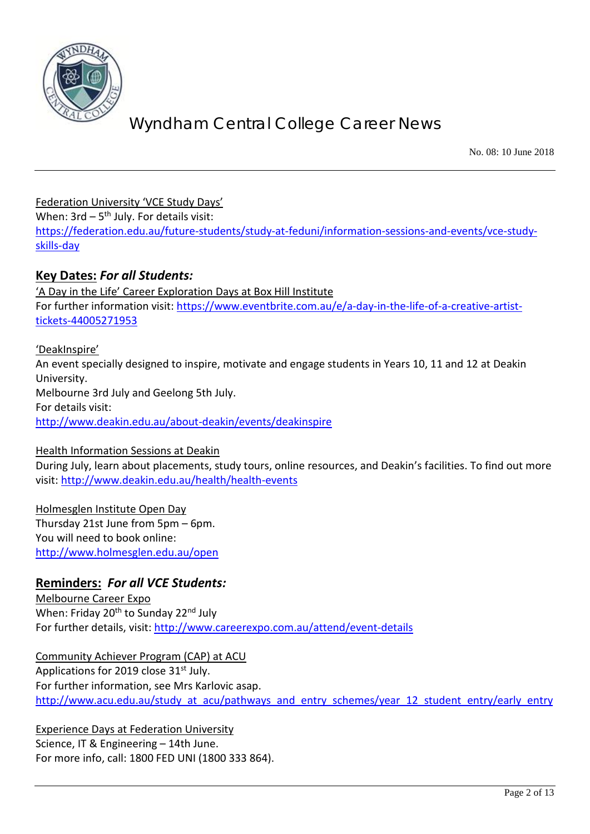

No. 08: 10 June 2018

Federation University 'VCE Study Days'

When:  $3rd - 5<sup>th</sup>$  July. For details visit:

[https://federation.edu.au/future-students/study-at-feduni/information-sessions-and-events/vce-study](https://federation.edu.au/future-students/study-at-feduni/information-sessions-and-events/vce-study-skills-day)[skills-day](https://federation.edu.au/future-students/study-at-feduni/information-sessions-and-events/vce-study-skills-day)

### **Key Dates:** *For all Students:*

'A Day in the Life' Career Exploration Days at Box Hill Institute For further information visit: [https://www.eventbrite.com.au/e/a-day-in-the-life-of-a-creative-artist](https://www.eventbrite.com.au/e/a-day-in-the-life-of-a-creative-artist-tickets-44005271953)[tickets-44005271953](https://www.eventbrite.com.au/e/a-day-in-the-life-of-a-creative-artist-tickets-44005271953)

#### 'DeakInspire'

An event specially designed to inspire, motivate and engage students in Years 10, 11 and 12 at Deakin University. Melbourne 3rd July and Geelong 5th July. For details visit: <http://www.deakin.edu.au/about-deakin/events/deakinspire>

#### Health Information Sessions at Deakin

During July, learn about placements, study tours, online resources, and Deakin's facilities. To find out more visit:<http://www.deakin.edu.au/health/health-events>

Holmesglen Institute Open Day Thursday 21st June from 5pm – 6pm. You will need to book online: <http://www.holmesglen.edu.au/open>

#### **Reminders:** *For all VCE Students:*

Melbourne Career Expo When: Friday 20<sup>th</sup> to Sunday 22<sup>nd</sup> July For further details, visit:<http://www.careerexpo.com.au/attend/event-details>

Community Achiever Program (CAP) at ACU Applications for 2019 close 31<sup>st</sup> July. For further information, see Mrs Karlovic asap. [http://www.acu.edu.au/study\\_at\\_acu/pathways\\_and\\_entry\\_schemes/year\\_12\\_student\\_entry/early\\_entry](http://www.acu.edu.au/study_at_acu/pathways_and_entry_schemes/year_12_student_entry/early_entry)

Experience Days at Federation University Science, IT & Engineering – 14th June. For more info, call: 1800 FED UNI (1800 333 864).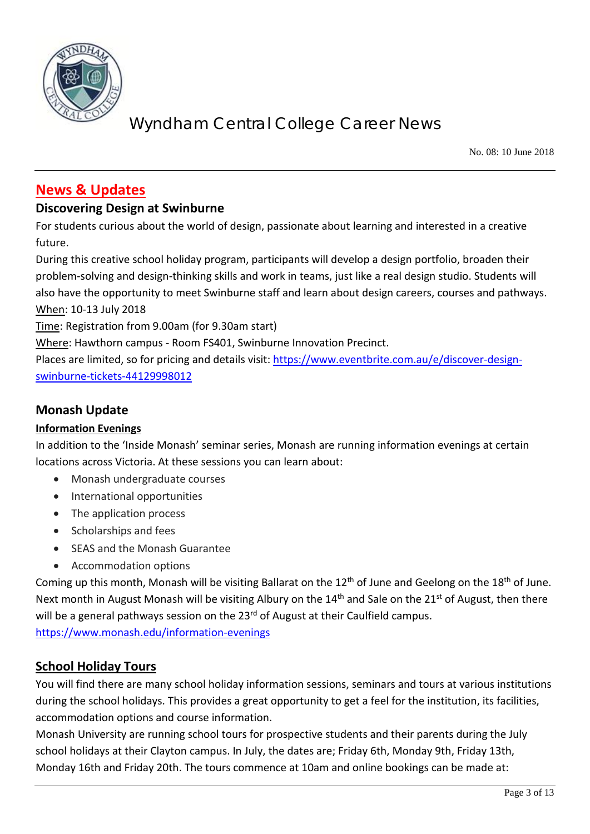

No. 08: 10 June 2018

### **News & Updates**

#### **Discovering Design at Swinburne**

For students curious about the world of design, passionate about learning and interested in a creative future.

During this creative school holiday program, participants will develop a design portfolio, broaden their problem-solving and design-thinking skills and work in teams, just like a real design studio. Students will also have the opportunity to meet Swinburne staff and learn about design careers, courses and pathways. When: 10-13 July 2018

Time: Registration from 9.00am (for 9.30am start)

Where: Hawthorn campus - Room FS401, Swinburne Innovation Precinct.

Places are limited, so for pricing and details visit: [https://www.eventbrite.com.au/e/discover-design](https://www.eventbrite.com.au/e/discover-design-swinburne-tickets-44129998012)[swinburne-tickets-44129998012](https://www.eventbrite.com.au/e/discover-design-swinburne-tickets-44129998012)

#### **Monash Update**

#### **Information Evenings**

In addition to the 'Inside Monash' seminar series, Monash are running information evenings at certain locations across Victoria. At these sessions you can learn about:

- Monash undergraduate courses
- International opportunities
- The application process
- Scholarships and fees
- SEAS and the Monash Guarantee
- Accommodation options

Coming up this month, Monash will be visiting Ballarat on the  $12<sup>th</sup>$  of June and Geelong on the  $18<sup>th</sup>$  of June. Next month in August Monash will be visiting Albury on the 14<sup>th</sup> and Sale on the 21<sup>st</sup> of August, then there will be a general pathways session on the 23<sup>rd</sup> of August at their Caulfield campus.

<https://www.monash.edu/information-evenings>

#### **School Holiday Tours**

You will find there are many school holiday information sessions, seminars and tours at various institutions during the school holidays. This provides a great opportunity to get a feel for the institution, its facilities, accommodation options and course information.

Monash University are running school tours for prospective students and their parents during the July school holidays at their Clayton campus. In July, the dates are; Friday 6th, Monday 9th, Friday 13th, Monday 16th and Friday 20th. The tours commence at 10am and online bookings can be made at: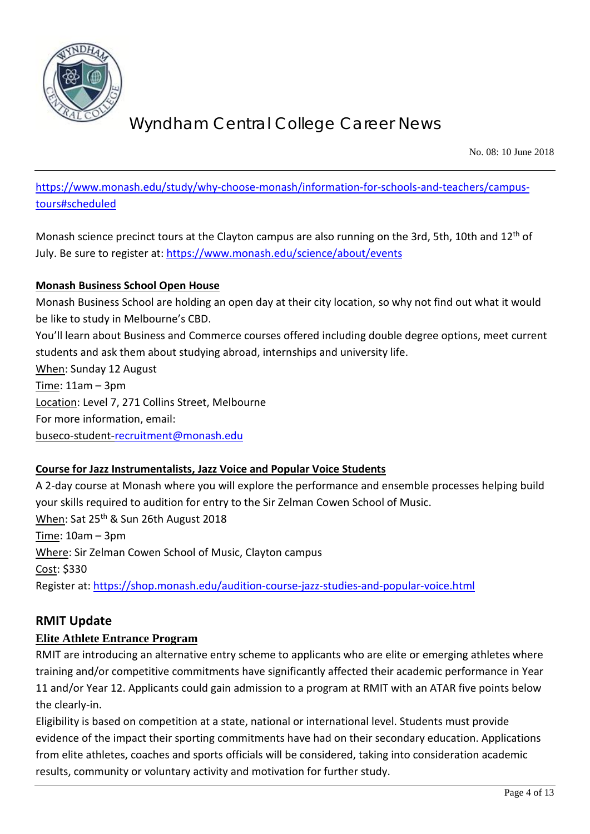

No. 08: 10 June 2018

[https://www.monash.edu/study/why-choose-monash/information-for-schools-and-teachers/campus](https://www.monash.edu/study/why-choose-monash/information-for-schools-and-teachers/campus-tours#scheduled)[tours#scheduled](https://www.monash.edu/study/why-choose-monash/information-for-schools-and-teachers/campus-tours#scheduled)

Monash science precinct tours at the Clayton campus are also running on the 3rd, 5th, 10th and 12<sup>th</sup> of July. Be sure to register at:<https://www.monash.edu/science/about/events>

#### **Monash Business School Open House**

Monash Business School are holding an open day at their city location, so why not find out what it would be like to study in Melbourne's CBD.

You'll learn about Business and Commerce courses offered including double degree options, meet current students and ask them about studying abroad, internships and university life. When: Sunday 12 August Time: 11am – 3pm Location: Level 7, 271 Collins Street, Melbourne For more information, email:

buseco-student[-recruitment@monash.edu](mailto:recruitment@monash.edu)

#### **Course for Jazz Instrumentalists, Jazz Voice and Popular Voice Students**

A 2-day course at Monash where you will explore the performance and ensemble processes helping build your skills required to audition for entry to the Sir Zelman Cowen School of Music. When: Sat 25<sup>th</sup> & Sun 26th August 2018 Time: 10am – 3pm Where: Sir Zelman Cowen School of Music, Clayton campus Cost: \$330 Register at:<https://shop.monash.edu/audition-course-jazz-studies-and-popular-voice.html>

### **RMIT Update**

#### **Elite Athlete Entrance Program**

RMIT are introducing an alternative entry scheme to applicants who are elite or emerging athletes where training and/or competitive commitments have significantly affected their academic performance in Year 11 and/or Year 12. Applicants could gain admission to a program at RMIT with an ATAR five points below the clearly-in.

Eligibility is based on competition at a state, national or international level. Students must provide evidence of the impact their sporting commitments have had on their secondary education. Applications from elite athletes, coaches and sports officials will be considered, taking into consideration academic results, community or voluntary activity and motivation for further study.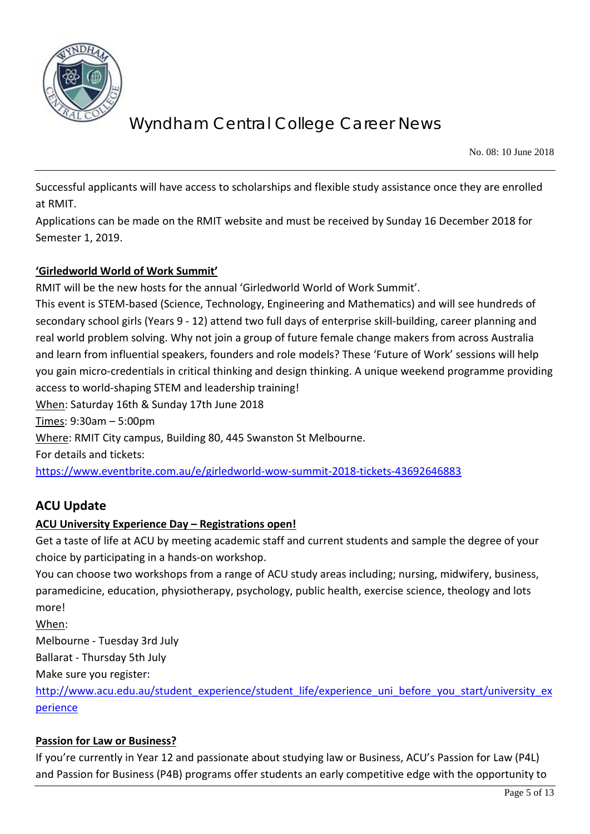

No. 08: 10 June 2018

Successful applicants will have access to scholarships and flexible study assistance once they are enrolled at RMIT.

Applications can be made on the RMIT website and must be received by Sunday 16 December 2018 for Semester 1, 2019.

#### **'Girledworld World of Work Summit'**

RMIT will be the new hosts for the annual 'Girledworld World of Work Summit'.

This event is STEM-based (Science, Technology, Engineering and Mathematics) and will see hundreds of secondary school girls (Years 9 - 12) attend two full days of enterprise skill-building, career planning and real world problem solving. Why not join a group of future female change makers from across Australia and learn from influential speakers, founders and role models? These 'Future of Work' sessions will help you gain micro-credentials in critical thinking and design thinking. A unique weekend programme providing access to world-shaping STEM and leadership training! When: Saturday 16th & Sunday 17th June 2018

Times: 9:30am – 5:00pm

Where: RMIT City campus, Building 80, 445 Swanston St Melbourne.

For details and tickets:

<https://www.eventbrite.com.au/e/girledworld-wow-summit-2018-tickets-43692646883>

#### **ACU Update**

#### **ACU University Experience Day – Registrations open!**

Get a taste of life at ACU by meeting academic staff and current students and sample the degree of your choice by participating in a hands-on workshop.

You can choose two workshops from a range of ACU study areas including; nursing, midwifery, business, paramedicine, education, physiotherapy, psychology, public health, exercise science, theology and lots more!

When:

Melbourne - Tuesday 3rd July

Ballarat - Thursday 5th July

Make sure you register:

[http://www.acu.edu.au/student\\_experience/student\\_life/experience\\_uni\\_before\\_you\\_start/university\\_ex](http://www.acu.edu.au/student_experience/student_life/experience_uni_before_you_start/university_experience) [perience](http://www.acu.edu.au/student_experience/student_life/experience_uni_before_you_start/university_experience)

#### **Passion for Law or Business?**

If you're currently in Year 12 and passionate about studying law or Business, ACU's Passion for Law (P4L) and Passion for Business (P4B) programs offer students an early competitive edge with the opportunity to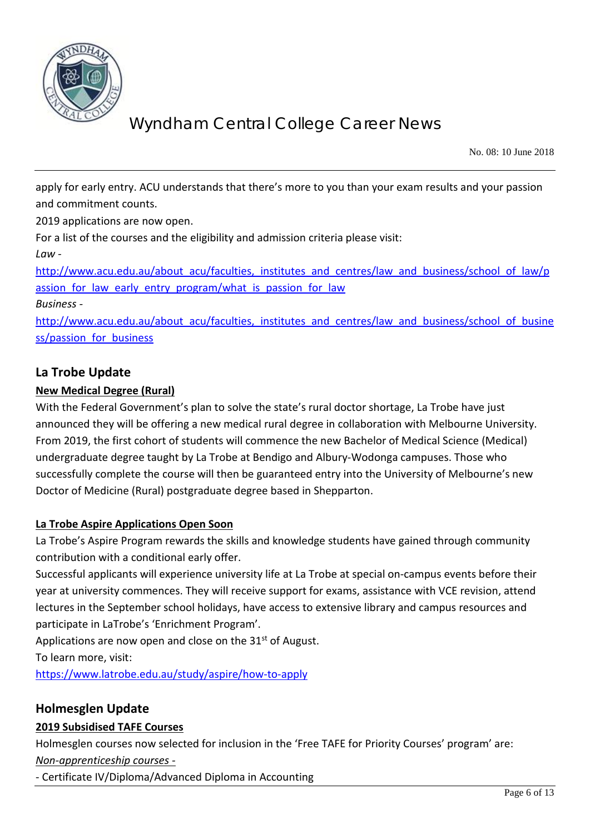

No. 08: 10 June 2018

apply for early entry. ACU understands that there's more to you than your exam results and your passion and commitment counts.

2019 applications are now open.

For a list of the courses and the eligibility and admission criteria please visit:

*Law -*

http://www.acu.edu.au/about\_acu/faculties, institutes and centres/law and business/school of law/p assion for law early entry program/what is passion for law

#### *Business -*

[http://www.acu.edu.au/about\\_acu/faculties,\\_institutes\\_and\\_centres/law\\_and\\_business/school\\_of\\_busine](http://www.acu.edu.au/about_acu/faculties,_institutes_and_centres/law_and_business/school_of_business/passion_for_business) ss/passion for business

#### **La Trobe Update**

#### **New Medical Degree (Rural)**

With the Federal Government's plan to solve the state's rural doctor shortage, La Trobe have just announced they will be offering a new medical rural degree in collaboration with Melbourne University. From 2019, the first cohort of students will commence the new Bachelor of Medical Science (Medical) undergraduate degree taught by La Trobe at Bendigo and Albury-Wodonga campuses. Those who successfully complete the course will then be guaranteed entry into the University of Melbourne's new Doctor of Medicine (Rural) postgraduate degree based in Shepparton.

#### **La Trobe Aspire Applications Open Soon**

La Trobe's Aspire Program rewards the skills and knowledge students have gained through community contribution with a conditional early offer.

Successful applicants will experience university life at La Trobe at special on-campus events before their year at university commences. They will receive support for exams, assistance with VCE revision, attend lectures in the September school holidays, have access to extensive library and campus resources and participate in LaTrobe's 'Enrichment Program'.

Applications are now open and close on the  $31<sup>st</sup>$  of August.

To learn more, visit:

<https://www.latrobe.edu.au/study/aspire/how-to-apply>

#### **Holmesglen Update**

#### **2019 Subsidised TAFE Courses**

Holmesglen courses now selected for inclusion in the 'Free TAFE for Priority Courses' program' are:

*Non-apprenticeship courses -*

- Certificate IV/Diploma/Advanced Diploma in Accounting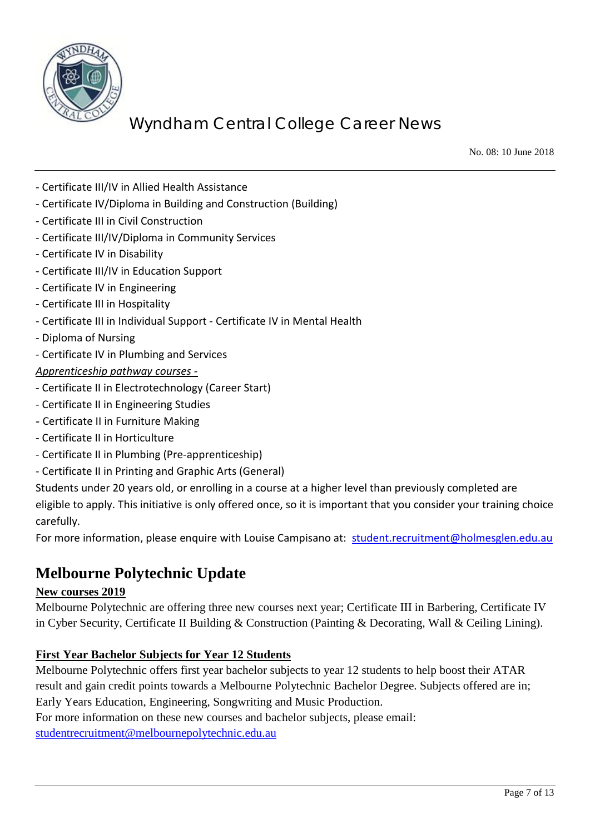

No. 08: 10 June 2018

- Certificate III/IV in Allied Health Assistance
- Certificate IV/Diploma in Building and Construction (Building)
- Certificate III in Civil Construction
- Certificate III/IV/Diploma in Community Services
- Certificate IV in Disability
- Certificate III/IV in Education Support
- Certificate IV in Engineering
- Certificate III in Hospitality
- Certificate III in Individual Support Certificate IV in Mental Health
- Diploma of Nursing
- Certificate IV in Plumbing and Services

#### *Apprenticeship pathway courses -*

- Certificate II in Electrotechnology (Career Start)
- Certificate II in Engineering Studies
- Certificate II in Furniture Making
- Certificate II in Horticulture
- Certificate II in Plumbing (Pre-apprenticeship)
- Certificate II in Printing and Graphic Arts (General)

Students under 20 years old, or enrolling in a course at a higher level than previously completed are eligible to apply. This initiative is only offered once, so it is important that you consider your training choice carefully.

For more information, please enquire with Louise Campisano at: [student.recruitment@holmesglen.edu.au](mailto:student.recruitment@holmesglen.edu.au)

### **Melbourne Polytechnic Update**

#### **New courses 2019**

Melbourne Polytechnic are offering three new courses next year; Certificate III in Barbering, Certificate IV in Cyber Security, Certificate II Building & Construction (Painting & Decorating, Wall & Ceiling Lining).

#### **First Year Bachelor Subjects for Year 12 Students**

Melbourne Polytechnic offers first year bachelor subjects to year 12 students to help boost their ATAR result and gain credit points towards a Melbourne Polytechnic Bachelor Degree. Subjects offered are in; Early Years Education, Engineering, Songwriting and Music Production.

For more information on these new courses and bachelor subjects, please email: [studentrecruitment@melbournepolytechnic.edu.au](mailto:studentrecruitment@melbournepolytechnic.edu.au)

Page 7 of 13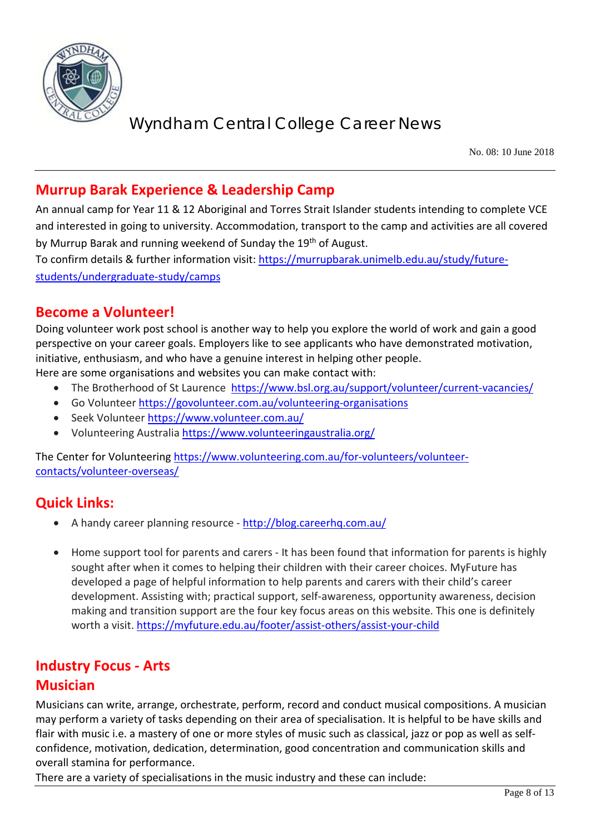

No. 08: 10 June 2018

### **Murrup Barak Experience & Leadership Camp**

An annual camp for Year 11 & 12 Aboriginal and Torres Strait Islander students intending to complete VCE and interested in going to university. Accommodation, transport to the camp and activities are all covered by Murrup Barak and running weekend of Sunday the 19<sup>th</sup> of August.

To confirm details & further information visit: [https://murrupbarak.unimelb.edu.au/study/future](https://murrupbarak.unimelb.edu.au/study/future-students/undergraduate-study/camps)[students/undergraduate-study/camps](https://murrupbarak.unimelb.edu.au/study/future-students/undergraduate-study/camps)

### **Become a Volunteer!**

Doing volunteer work post school is another way to help you explore the world of work and gain a good perspective on your career goals. Employers like to see applicants who have demonstrated motivation, initiative, enthusiasm, and who have a genuine interest in helping other people.

Here are some organisations and websites you can make contact with:

- The Brotherhood of St Laurence <https://www.bsl.org.au/support/volunteer/current-vacancies/>
- Go Volunteer<https://govolunteer.com.au/volunteering-organisations>
- Seek Volunteer<https://www.volunteer.com.au/>
- Volunteering Australia<https://www.volunteeringaustralia.org/>

The Center for Volunteering [https://www.volunteering.com.au/for-volunteers/volunteer](https://www.volunteering.com.au/for-volunteers/volunteer-contacts/volunteer-overseas/)[contacts/volunteer-overseas/](https://www.volunteering.com.au/for-volunteers/volunteer-contacts/volunteer-overseas/)

### **Quick Links:**

- A handy career planning resource <http://blog.careerhq.com.au/>
- Home support tool for parents and carers It has been found that information for parents is highly sought after when it comes to helping their children with their career choices. MyFuture has developed a page of helpful information to help parents and carers with their child's career development. Assisting with; practical support, self-awareness, opportunity awareness, decision making and transition support are the four key focus areas on this website. This one is definitely worth a visit.<https://myfuture.edu.au/footer/assist-others/assist-your-child>

### **Industry Focus - Arts Musician**

Musicians can write, arrange, orchestrate, perform, record and conduct musical compositions. A musician may perform a variety of tasks depending on their area of specialisation. It is helpful to be have skills and flair with music i.e. a mastery of one or more styles of music such as classical, jazz or pop as well as selfconfidence, motivation, dedication, determination, good concentration and communication skills and overall stamina for performance.

There are a variety of specialisations in the music industry and these can include: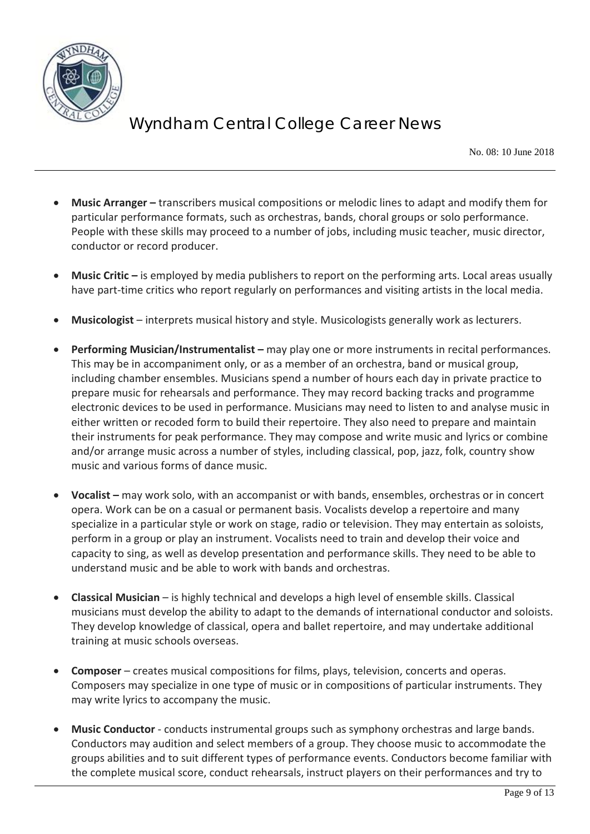

No. 08: 10 June 2018

- **Music Arranger –** transcribers musical compositions or melodic lines to adapt and modify them for particular performance formats, such as orchestras, bands, choral groups or solo performance. People with these skills may proceed to a number of jobs, including music teacher, music director, conductor or record producer.
- **Music Critic –** is employed by media publishers to report on the performing arts. Local areas usually have part-time critics who report regularly on performances and visiting artists in the local media.
- **Musicologist**  interprets musical history and style. Musicologists generally work as lecturers.
- **Performing Musician/Instrumentalist –** may play one or more instruments in recital performances. This may be in accompaniment only, or as a member of an orchestra, band or musical group, including chamber ensembles. Musicians spend a number of hours each day in private practice to prepare music for rehearsals and performance. They may record backing tracks and programme electronic devices to be used in performance. Musicians may need to listen to and analyse music in either written or recoded form to build their repertoire. They also need to prepare and maintain their instruments for peak performance. They may compose and write music and lyrics or combine and/or arrange music across a number of styles, including classical, pop, jazz, folk, country show music and various forms of dance music.
- **Vocalist –** may work solo, with an accompanist or with bands, ensembles, orchestras or in concert opera. Work can be on a casual or permanent basis. Vocalists develop a repertoire and many specialize in a particular style or work on stage, radio or television. They may entertain as soloists, perform in a group or play an instrument. Vocalists need to train and develop their voice and capacity to sing, as well as develop presentation and performance skills. They need to be able to understand music and be able to work with bands and orchestras.
- **Classical Musician**  is highly technical and develops a high level of ensemble skills. Classical musicians must develop the ability to adapt to the demands of international conductor and soloists. They develop knowledge of classical, opera and ballet repertoire, and may undertake additional training at music schools overseas.
- **Composer**  creates musical compositions for films, plays, television, concerts and operas. Composers may specialize in one type of music or in compositions of particular instruments. They may write lyrics to accompany the music.
- **Music Conductor** conducts instrumental groups such as symphony orchestras and large bands. Conductors may audition and select members of a group. They choose music to accommodate the groups abilities and to suit different types of performance events. Conductors become familiar with the complete musical score, conduct rehearsals, instruct players on their performances and try to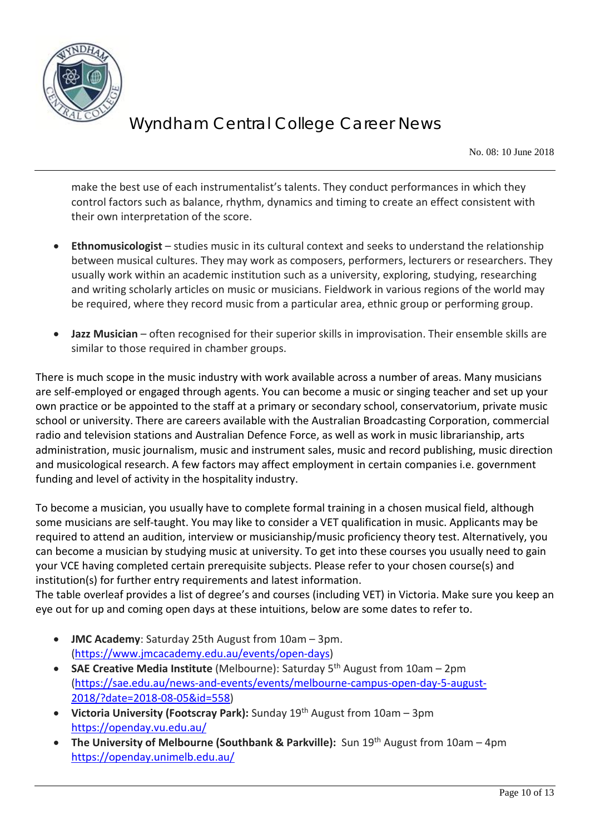

No. 08: 10 June 2018

make the best use of each instrumentalist's talents. They conduct performances in which they control factors such as balance, rhythm, dynamics and timing to create an effect consistent with their own interpretation of the score.

- **Ethnomusicologist** studies music in its cultural context and seeks to understand the relationship between musical cultures. They may work as composers, performers, lecturers or researchers. They usually work within an academic institution such as a university, exploring, studying, researching and writing scholarly articles on music or musicians. Fieldwork in various regions of the world may be required, where they record music from a particular area, ethnic group or performing group.
- **Jazz Musician** often recognised for their superior skills in improvisation. Their ensemble skills are similar to those required in chamber groups.

There is much scope in the music industry with work available across a number of areas. Many musicians are self-employed or engaged through agents. You can become a music or singing teacher and set up your own practice or be appointed to the staff at a primary or secondary school, conservatorium, private music school or university. There are careers available with the Australian Broadcasting Corporation, commercial radio and television stations and Australian Defence Force, as well as work in music librarianship, arts administration, music journalism, music and instrument sales, music and record publishing, music direction and musicological research. A few factors may affect employment in certain companies i.e. government funding and level of activity in the hospitality industry.

To become a musician, you usually have to complete formal training in a chosen musical field, although some musicians are self-taught. You may like to consider a VET qualification in music. Applicants may be required to attend an audition, interview or musicianship/music proficiency theory test. Alternatively, you can become a musician by studying music at university. To get into these courses you usually need to gain your VCE having completed certain prerequisite subjects. Please refer to your chosen course(s) and institution(s) for further entry requirements and latest information.

The table overleaf provides a list of degree's and courses (including VET) in Victoria. Make sure you keep an eye out for up and coming open days at these intuitions, below are some dates to refer to.

- **JMC Academy**: Saturday 25th August from 10am 3pm. [\(https://www.jmcacademy.edu.au/events/open-days\)](https://www.jmcacademy.edu.au/events/open-days)
- **SAE Creative Media Institute** (Melbourne): Saturday 5<sup>th</sup> August from 10am 2pm [\(https://sae.edu.au/news-and-events/events/melbourne-campus-open-day-5-august-](https://sae.edu.au/news-and-events/events/melbourne-campus-open-day-5-august-2018/?date=2018-08-05&id=558)[2018/?date=2018-08-05&id=558\)](https://sae.edu.au/news-and-events/events/melbourne-campus-open-day-5-august-2018/?date=2018-08-05&id=558)
- **Victoria University (Footscray Park):** Sunday 19th August from 10am 3pm <https://openday.vu.edu.au/>
- **The University of Melbourne (Southbank & Parkville):** Sun 19th August from 10am 4pm <https://openday.unimelb.edu.au/>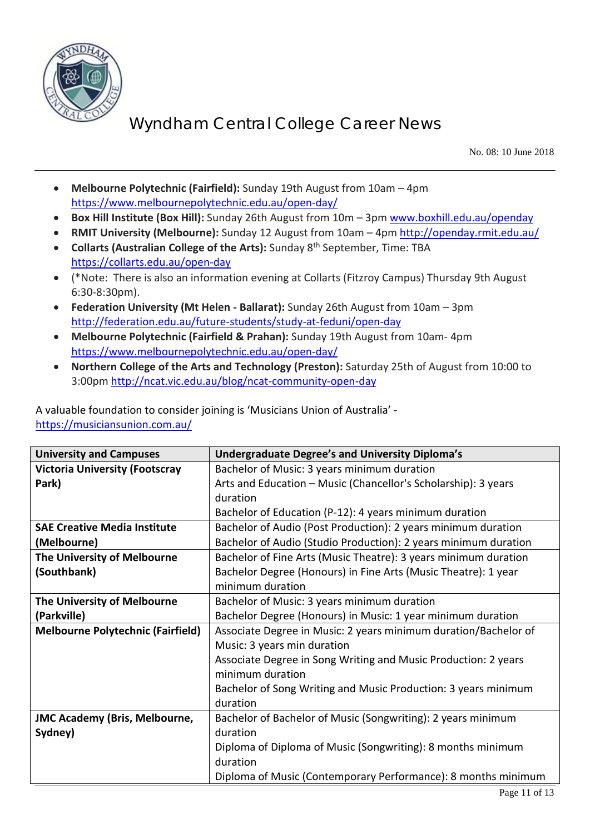

No. 08: 10 June 2018

- **Melbourne Polytechnic (Fairfield):** Sunday 19th August from 10am 4pm <https://www.melbournepolytechnic.edu.au/open-day/>
- **Box Hill Institute (Box Hill):** Sunday 26th August from 10m 3pm [www.boxhill.edu.au/openday](http://www.boxhill.edu.au/openday)
- **RMIT University (Melbourne):** Sunday 12 August from 10am 4pm<http://openday.rmit.edu.au/>
- **Collarts (Australian College of the Arts):** Sunday 8th September, Time: TBA <https://collarts.edu.au/open-day>
- (\*Note: There is also an information evening at Collarts (Fitzroy Campus) Thursday 9th August 6:30-8:30pm).
- **Federation University (Mt Helen - Ballarat):** Sunday 26th August from 10am 3pm <http://federation.edu.au/future-students/study-at-feduni/open-day>
- **Melbourne Polytechnic (Fairfield & Prahan):** Sunday 19th August from 10am- 4pm <https://www.melbournepolytechnic.edu.au/open-day/>
- **Northern College of the Arts and Technology (Preston):** Saturday 25th of August from 10:00 to 3:00pm<http://ncat.vic.edu.au/blog/ncat-community-open-day>

A valuable foundation to consider joining is 'Musicians Union of Australia' <https://musiciansunion.com.au/>

| <b>University and Campuses</b>           | <b>Undergraduate Degree's and University Diploma's</b>          |
|------------------------------------------|-----------------------------------------------------------------|
| <b>Victoria University (Footscray</b>    | Bachelor of Music: 3 years minimum duration                     |
| Park)                                    | Arts and Education - Music (Chancellor's Scholarship): 3 years  |
|                                          | duration                                                        |
|                                          | Bachelor of Education (P-12): 4 years minimum duration          |
| <b>SAE Creative Media Institute</b>      | Bachelor of Audio (Post Production): 2 years minimum duration   |
| (Melbourne)                              | Bachelor of Audio (Studio Production): 2 years minimum duration |
| The University of Melbourne              | Bachelor of Fine Arts (Music Theatre): 3 years minimum duration |
| (Southbank)                              | Bachelor Degree (Honours) in Fine Arts (Music Theatre): 1 year  |
|                                          | minimum duration                                                |
| The University of Melbourne              | Bachelor of Music: 3 years minimum duration                     |
| (Parkville)                              | Bachelor Degree (Honours) in Music: 1 year minimum duration     |
| <b>Melbourne Polytechnic (Fairfield)</b> | Associate Degree in Music: 2 years minimum duration/Bachelor of |
|                                          | Music: 3 years min duration                                     |
|                                          | Associate Degree in Song Writing and Music Production: 2 years  |
|                                          | minimum duration                                                |
|                                          | Bachelor of Song Writing and Music Production: 3 years minimum  |
|                                          | duration                                                        |
| <b>JMC Academy (Bris, Melbourne,</b>     | Bachelor of Bachelor of Music (Songwriting): 2 years minimum    |
| Sydney)                                  | duration                                                        |
|                                          | Diploma of Diploma of Music (Songwriting): 8 months minimum     |
|                                          | duration                                                        |
|                                          | Diploma of Music (Contemporary Performance): 8 months minimum   |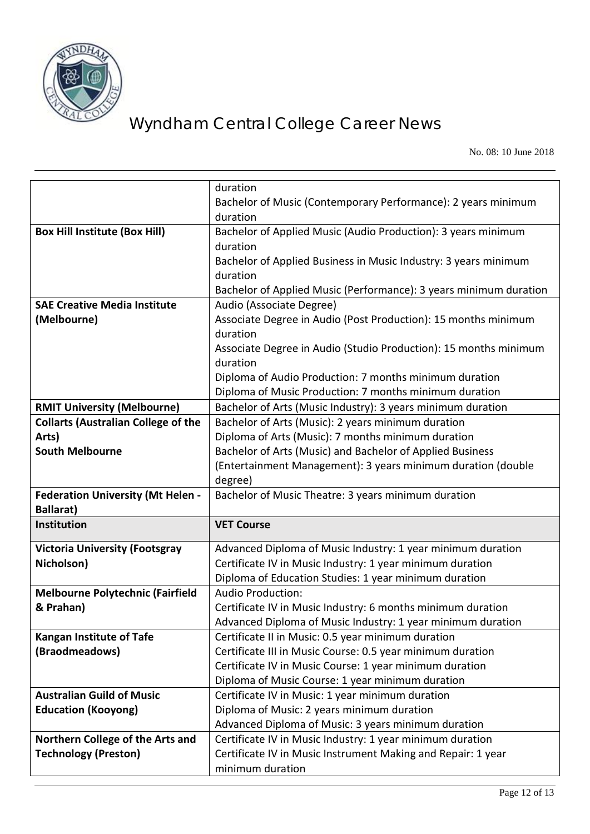

No. 08: 10 June 2018

|                                            | duration                                                                         |
|--------------------------------------------|----------------------------------------------------------------------------------|
|                                            | Bachelor of Music (Contemporary Performance): 2 years minimum                    |
|                                            | duration                                                                         |
| <b>Box Hill Institute (Box Hill)</b>       | Bachelor of Applied Music (Audio Production): 3 years minimum                    |
|                                            | duration                                                                         |
|                                            | Bachelor of Applied Business in Music Industry: 3 years minimum                  |
|                                            | duration                                                                         |
|                                            | Bachelor of Applied Music (Performance): 3 years minimum duration                |
| <b>SAE Creative Media Institute</b>        | Audio (Associate Degree)                                                         |
| (Melbourne)                                | Associate Degree in Audio (Post Production): 15 months minimum                   |
|                                            | duration                                                                         |
|                                            | Associate Degree in Audio (Studio Production): 15 months minimum                 |
|                                            | duration                                                                         |
|                                            | Diploma of Audio Production: 7 months minimum duration                           |
|                                            | Diploma of Music Production: 7 months minimum duration                           |
| <b>RMIT University (Melbourne)</b>         | Bachelor of Arts (Music Industry): 3 years minimum duration                      |
| <b>Collarts (Australian College of the</b> | Bachelor of Arts (Music): 2 years minimum duration                               |
| Arts)                                      | Diploma of Arts (Music): 7 months minimum duration                               |
| <b>South Melbourne</b>                     | Bachelor of Arts (Music) and Bachelor of Applied Business                        |
|                                            | (Entertainment Management): 3 years minimum duration (double                     |
|                                            | degree)                                                                          |
| <b>Federation University (Mt Helen -</b>   | Bachelor of Music Theatre: 3 years minimum duration                              |
| <b>Ballarat)</b>                           |                                                                                  |
| Institution                                | <b>VET Course</b>                                                                |
| <b>Victoria University (Footsgray</b>      | Advanced Diploma of Music Industry: 1 year minimum duration                      |
| Nicholson)                                 | Certificate IV in Music Industry: 1 year minimum duration                        |
|                                            | Diploma of Education Studies: 1 year minimum duration                            |
| <b>Melbourne Polytechnic (Fairfield</b>    | <b>Audio Production:</b>                                                         |
| & Prahan)                                  | Certificate IV in Music Industry: 6 months minimum duration                      |
|                                            | Advanced Diploma of Music Industry: 1 year minimum duration                      |
| <b>Kangan Institute of Tafe</b>            | Certificate II in Music: 0.5 year minimum duration                               |
| (Braodmeadows)                             | Certificate III in Music Course: 0.5 year minimum duration                       |
|                                            | Certificate IV in Music Course: 1 year minimum duration                          |
|                                            | Diploma of Music Course: 1 year minimum duration                                 |
| <b>Australian Guild of Music</b>           |                                                                                  |
|                                            | Certificate IV in Music: 1 year minimum duration                                 |
| <b>Education (Kooyong)</b>                 | Diploma of Music: 2 years minimum duration                                       |
|                                            | Advanced Diploma of Music: 3 years minimum duration                              |
| Northern College of the Arts and           | Certificate IV in Music Industry: 1 year minimum duration                        |
| <b>Technology (Preston)</b>                | Certificate IV in Music Instrument Making and Repair: 1 year<br>minimum duration |